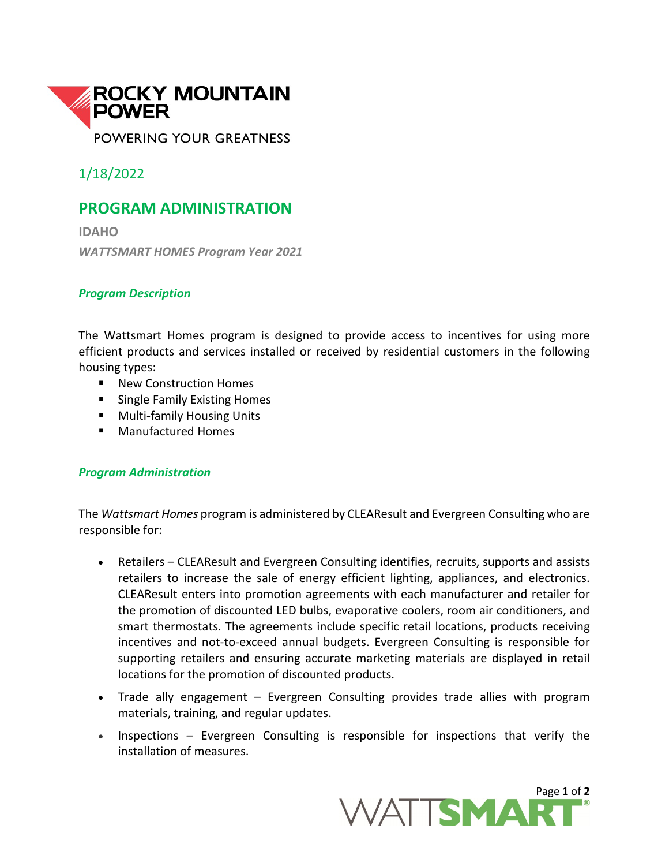

1/18/2022

## **PROGRAM ADMINISTRATION**

**IDAHO** *WATTSMART HOMES Program Year 2021*

## *Program Description*

The Wattsmart Homes program is designed to provide access to incentives for using more efficient products and services installed or received by residential customers in the following housing types:

- New Construction Homes
- Single Family Existing Homes
- **Multi-family Housing Units**
- Manufactured Homes

## *Program Administration*

The *Wattsmart Homes* program is administered by CLEAResult and Evergreen Consulting who are responsible for:

- Retailers CLEAResult and Evergreen Consulting identifies, recruits, supports and assists retailers to increase the sale of energy efficient lighting, appliances, and electronics. CLEAResult enters into promotion agreements with each manufacturer and retailer for the promotion of discounted LED bulbs, evaporative coolers, room air conditioners, and smart thermostats. The agreements include specific retail locations, products receiving incentives and not-to-exceed annual budgets. Evergreen Consulting is responsible for supporting retailers and ensuring accurate marketing materials are displayed in retail locations for the promotion of discounted products.
- Trade ally engagement Evergreen Consulting provides trade allies with program materials, training, and regular updates.
- Inspections Evergreen Consulting is responsible for inspections that verify the installation of measures.